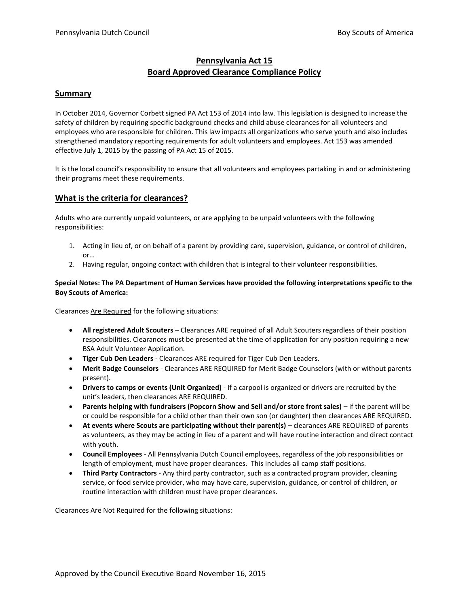# **Pennsylvania Act 15 Board Approved Clearance Compliance Policy**

### **Summary**

In October 2014, Governor Corbett signed PA Act 153 of 2014 into law. This legislation is designed to increase the safety of children by requiring specific background checks and child abuse clearances for all volunteers and employees who are responsible for children. This law impacts all organizations who serve youth and also includes strengthened mandatory reporting requirements for adult volunteers and employees. Act 153 was amended effective July 1, 2015 by the passing of PA Act 15 of 2015.

It is the local council's responsibility to ensure that all volunteers and employees partaking in and or administering their programs meet these requirements.

## **What is the criteria for clearances?**

Adults who are currently unpaid volunteers, or are applying to be unpaid volunteers with the following responsibilities:

- 1. Acting in lieu of, or on behalf of a parent by providing care, supervision, guidance, or control of children, or…
- 2. Having regular, ongoing contact with children that is integral to their volunteer responsibilities.

#### **Special Notes: The PA Department of Human Services have provided the following interpretations specific to the Boy Scouts of America:**

Clearances Are Required for the following situations:

- **All registered Adult Scouters** Clearances ARE required of all Adult Scouters regardless of their position responsibilities. Clearances must be presented at the time of application for any position requiring a new BSA Adult Volunteer Application.
- **Tiger Cub Den Leaders** Clearances ARE required for Tiger Cub Den Leaders.
- **Merit Badge Counselors** Clearances ARE REQUIRED for Merit Badge Counselors (with or without parents present).
- **Drivers to camps or events (Unit Organized)** If a carpool is organized or drivers are recruited by the unit's leaders, then clearances ARE REQUIRED.
- **Parents helping with fundraisers (Popcorn Show and Sell and/or store front sales)** if the parent will be or could be responsible for a child other than their own son (or daughter) then clearances ARE REQUIRED.
- **At events where Scouts are participating without their parent(s)** clearances ARE REQUIRED of parents as volunteers, as they may be acting in lieu of a parent and will have routine interaction and direct contact with youth.
- **Council Employees**  All Pennsylvania Dutch Council employees, regardless of the job responsibilities or length of employment, must have proper clearances. This includes all camp staff positions.
- **Third Party Contractors**  Any third party contractor, such as a contracted program provider, cleaning service, or food service provider, who may have care, supervision, guidance, or control of children, or routine interaction with children must have proper clearances.

Clearances Are Not Required for the following situations: